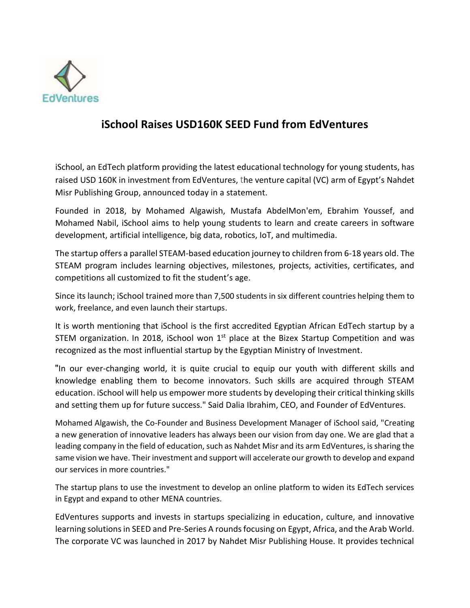

## **iSchool Raises USD160K SEED Fund from EdVentures**

iSchool, an EdTech platform providing the latest educational technology for young students, has raised USD 160K in investment from EdVentures, the venture capital (VC) arm of Egypt's [Nahdet](https://www.nahdetmisr.com/)  [Misr Publishing Group,](https://www.nahdetmisr.com/) announced today in a statement.

Founded in 2018, by Mohamed Algawish, Mustafa AbdelMon'em, Ebrahim Youssef, and Mohamed Nabil, iSchool aims to help young students to learn and create careers in software development, artificial intelligence, big data, robotics, IoT, and multimedia.

The startup offers a parallel STEAM-based education journey to children from 6-18 years old. The STEAM program includes learning objectives, milestones, projects, activities, certificates, and competitions all customized to fit the student's age.

Since its launch; iSchool trained more than 7,500 students in six different countries helping them to work, freelance, and even launch their startups.

It is worth mentioning that iSchool is the first accredited Egyptian African EdTech startup by a STEM organization. In 2018, iSchool won  $1<sup>st</sup>$  place at the Bizex Startup Competition and was recognized as the most influential startup by the Egyptian Ministry of Investment.

 "In our ever-changing world, it is quite crucial to equip our youth with different skills and knowledge enabling them to become innovators. Such skills are acquired through STEAM education. iSchool will help us empower more students by developing their critical thinking skills and setting them up for future success." Said Dalia Ibrahim, CEO, and Founder of EdVentures.

Mohamed Algawish, the Co-Founder and Business Development Manager of iSchool said, "Creating a new generation of innovative leaders has always been our vision from day one. We are glad that a leading company in the field of education, such as Nahdet Misr and its arm EdVentures, is sharing the same vision we have. Their investment and support will accelerate our growth to develop and expand our services in more countries."

The startup plans to use the investment to develop an online platform to widen its EdTech services in Egypt and expand to other MENA countries.

EdVentures supports and invests in startups specializing in education, culture, and innovative learning solutions in SEED and Pre-Series A rounds focusing on Egypt, Africa, and the Arab World. The corporate VC was launched in 2017 by Nahdet Misr Publishing House. It provides technical